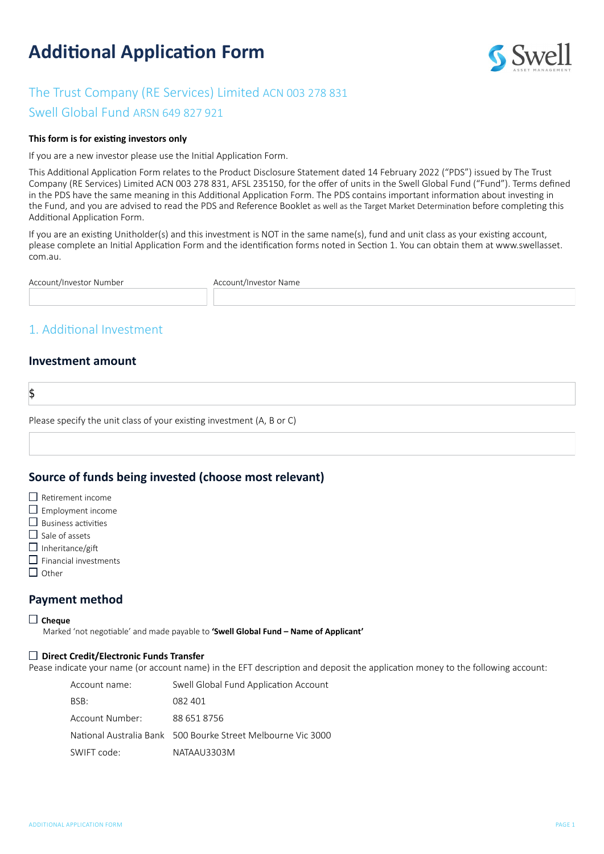# **Additional Application Form**



# The Trust Company (RE Services) Limited ACN 003 278 831

Swell Global Fund ARSN 649 827 921

#### **This form is for existing investors only**

If you are a new investor please use the Initial Application Form.

This Additional Application Form relates to the Product Disclosure Statement dated 14 February 2022 ("PDS") issued by The Trust Company (RE Services) Limited ACN 003 278 831, AFSL 235150, for the offer of units in the Swell Global Fund ("Fund"). Terms defined in the PDS have the same meaning in this Additional Application Form. The PDS contains important information about investing in the Fund, and you are advised to read the PDS and Reference Booklet as well as the Target Market Determination before completing this Additional Application Form.

If you are an existing Unitholder(s) and this investment is NOT in the same name(s), fund and unit class as your existing account, please complete an Initial Application Form and the identification forms noted in Section 1. You can obtain them at [www.swellasset.](http://www.swellasset.com.au) [com.au.](http://www.swellasset.com.au)

| Account/Investor Number | Account/Investor Name |
|-------------------------|-----------------------|
|                         |                       |

# 1. Additional Investment

#### **Investment amount**

\$

Please specify the unit class of your existing investment (A, B or C)

### **Source of funds being invested (choose most relevant)**

- $\square$  Retirement income
- $\square$  Employment income
- $\square$  Business activities
- $\Box$  Sale of assets
- $\Box$  Inheritance/gift
- $\Box$  Financial investments
- $\Box$  Other

### **Payment method**

#### **Cheque**

Marked 'not negotiable' and made payable to **'Swell Global Fund – Name of Applicant'**

#### **Direct Credit/Electronic Funds Transfer**

Pease indicate your name (or account name) in the EFT description and deposit the application money to the following account:

| Account name:   | Swell Global Fund Application Account                        |
|-----------------|--------------------------------------------------------------|
| BSB:            | 082 401                                                      |
| Account Number: | 88 651 8756                                                  |
|                 | National Australia Bank 500 Bourke Street Melbourne Vic 3000 |
| SWIFT code:     | NATAAU3303M                                                  |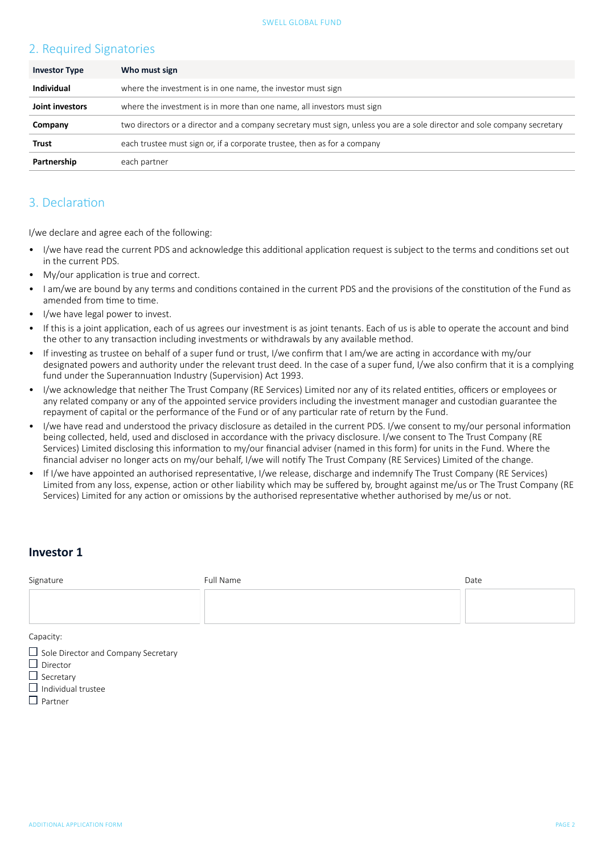# 2. Required Signatories

| <b>Investor Type</b> | Who must sign                                                                                                            |
|----------------------|--------------------------------------------------------------------------------------------------------------------------|
| Individual           | where the investment is in one name, the investor must sign                                                              |
| Joint investors      | where the investment is in more than one name, all investors must sign                                                   |
| Company              | two directors or a director and a company secretary must sign, unless you are a sole director and sole company secretary |
| Trust                | each trustee must sign or, if a corporate trustee, then as for a company                                                 |
| Partnership          | each partner                                                                                                             |

## 3. Declaration

I/we declare and agree each of the following:

- I/we have read the current PDS and acknowledge this additional application request is subject to the terms and conditions set out in the current PDS.
- My/our application is true and correct.
- I am/we are bound by any terms and conditions contained in the current PDS and the provisions of the constitution of the Fund as amended from time to time.
- I/we have legal power to invest.
- If this is a joint application, each of us agrees our investment is as joint tenants. Each of us is able to operate the account and bind the other to any transaction including investments or withdrawals by any available method.
- If investing as trustee on behalf of a super fund or trust, I/we confirm that I am/we are acting in accordance with my/our designated powers and authority under the relevant trust deed. In the case of a super fund, I/we also confirm that it is a complying fund under the Superannuation Industry (Supervision) Act 1993.
- I/we acknowledge that neither The Trust Company (RE Services) Limited nor any of its related entities, officers or employees or any related company or any of the appointed service providers including the investment manager and custodian guarantee the repayment of capital or the performance of the Fund or of any particular rate of return by the Fund.
- I/we have read and understood the privacy disclosure as detailed in the current PDS. I/we consent to my/our personal information being collected, held, used and disclosed in accordance with the privacy disclosure. I/we consent to The Trust Company (RE Services) Limited disclosing this information to my/our financial adviser (named in this form) for units in the Fund. Where the financial adviser no longer acts on my/our behalf, I/we will notify The Trust Company (RE Services) Limited of the change.
- If I/we have appointed an authorised representative, I/we release, discharge and indemnify The Trust Company (RE Services) Limited from any loss, expense, action or other liability which may be suffered by, brought against me/us or The Trust Company (RE Services) Limited for any action or omissions by the authorised representative whether authorised by me/us or not.

### **Investor 1**

| Signature                                  | Full Name | Date |  |  |  |
|--------------------------------------------|-----------|------|--|--|--|
|                                            |           |      |  |  |  |
|                                            |           |      |  |  |  |
|                                            |           |      |  |  |  |
| Capacity:                                  |           |      |  |  |  |
| $\Box$ Sole Director and Company Secretary |           |      |  |  |  |
| $\Box$ Director                            |           |      |  |  |  |
| $\Box$ Secretary                           |           |      |  |  |  |

- $\Box$  Individual trustee
- $\Box$  Partner